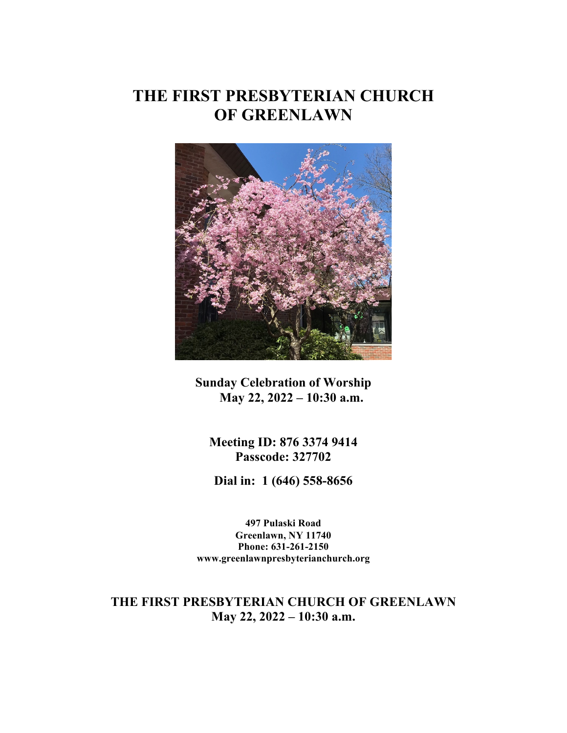# **THE FIRST PRESBYTERIAN CHURCH OF GREENLAWN**



**Sunday Celebration of Worship May 22, 2022 – 10:30 a.m.**

**Meeting ID: 876 3374 9414 Passcode: 327702**

**Dial in: 1 (646) 558-8656**

**497 Pulaski Road Greenlawn, NY 11740 Phone: 631-261-2150 www.greenlawnpresbyterianchurch.org**

**THE FIRST PRESBYTERIAN CHURCH OF GREENLAWN May 22, 2022 – 10:30 a.m.**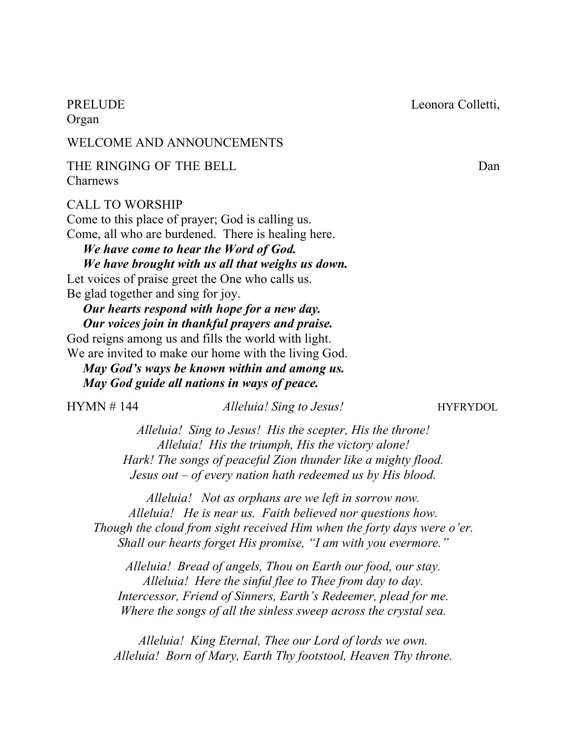PRELUDE Leonora Colletti,

Organ

### WELCOME AND ANNOUNCEMENTS

THE RINGING OF THE BELL Dan Charnews

#### CALL TO WORSHIP

Come to this place of prayer; God is calling us. Come, all who are burdened. There is healing here. *We have come to hear the Word of God. We have brought with us all that weighs us down.*  Let voices of praise greet the One who calls us.

Be glad together and sing for joy.

#### *Our hearts respond with hope for a new day. Our voices join in thankful prayers and praise.*

God reigns among us and fills the world with light. We are invited to make our home with the living God.

 *May God's ways be known within and among us. May God guide all nations in ways of peace.*

| HYMN # 144 |  |  |
|------------|--|--|
|------------|--|--|

*Alleluia! Sing to Jesus!* **HYFRYDOL** 

*Alleluia! Sing to Jesus! His the scepter, His the throne! Alleluia! His the triumph, His the victory alone! Hark! The songs of peaceful Zion thunder like a mighty flood. Jesus out – of every nation hath redeemed us by His blood.*

*Alleluia! Not as orphans are we left in sorrow now. Alleluia! He is near us. Faith believed nor questions how. Though the cloud from sight received Him when the forty days were o'er. Shall our hearts forget His promise, "I am with you evermore."*

*Alleluia! Bread of angels, Thou on Earth our food, our stay. Alleluia! Here the sinful flee to Thee from day to day. Intercessor, Friend of Sinners, Earth's Redeemer, plead for me. Where the songs of all the sinless sweep across the crystal sea.*

*Alleluia! King Eternal, Thee our Lord of lords we own. Alleluia! Born of Mary, Earth Thy footstool, Heaven Thy throne.*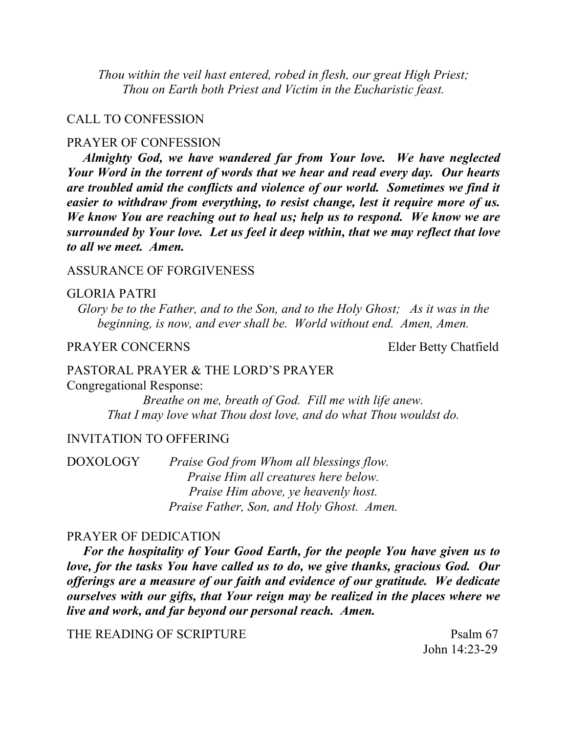*Thou within the veil hast entered, robed in flesh, our great High Priest; Thou on Earth both Priest and Victim in the Eucharistic feast.*

#### CALL TO CONFESSION

#### PRAYER OF CONFESSION

 *Almighty God, we have wandered far from Your love. We have neglected Your Word in the torrent of words that we hear and read every day. Our hearts are troubled amid the conflicts and violence of our world. Sometimes we find it easier to withdraw from everything, to resist change, lest it require more of us. We know You are reaching out to heal us; help us to respond. We know we are surrounded by Your love. Let us feel it deep within, that we may reflect that love to all we meet. Amen.* 

#### ASSURANCE OF FORGIVENESS

#### GLORIA PATRI

*Glory be to the Father, and to the Son, and to the Holy Ghost; As it was in the beginning, is now, and ever shall be. World without end. Amen, Amen.*

#### PRAYER CONCERNS Elder Betty Chatfield

# PASTORAL PRAYER & THE LORD'S PRAYER

Congregational Response:

*Breathe on me, breath of God. Fill me with life anew. That I may love what Thou dost love, and do what Thou wouldst do.*

#### INVITATION TO OFFERING

DOXOLOGY *Praise God from Whom all blessings flow. Praise Him all creatures here below. Praise Him above, ye heavenly host. Praise Father, Son, and Holy Ghost. Amen.*

#### PRAYER OF DEDICATION

 *For the hospitality of Your Good Earth, for the people You have given us to love, for the tasks You have called us to do, we give thanks, gracious God. Our offerings are a measure of our faith and evidence of our gratitude. We dedicate ourselves with our gifts, that Your reign may be realized in the places where we live and work, and far beyond our personal reach. Amen.* 

THE READING OF SCRIPTURE Psalm 67

John 14:23-29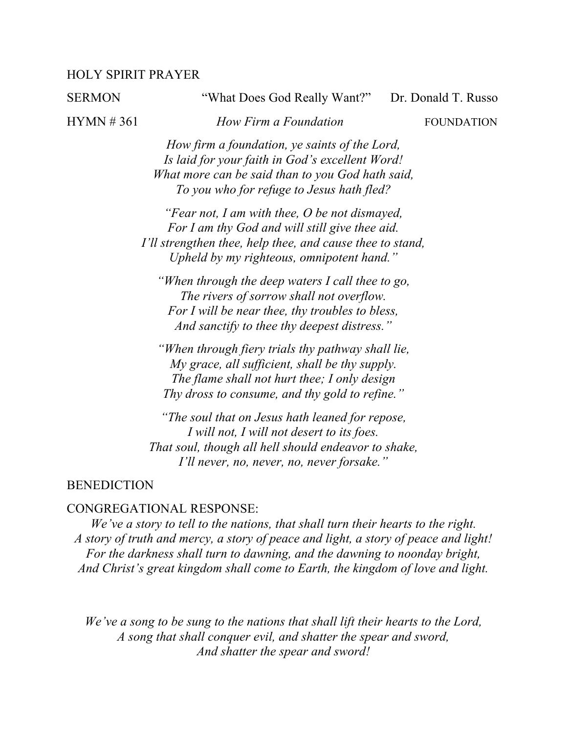#### HOLY SPIRIT PRAYER

SERMON "What Does God Really Want?" Dr. Donald T. Russo

HYMN # 361 *How Firm a Foundation* FOUNDATION

*How firm a foundation, ye saints of the Lord, Is laid for your faith in God's excellent Word! What more can be said than to you God hath said, To you who for refuge to Jesus hath fled?*

*"Fear not, I am with thee, O be not dismayed, For I am thy God and will still give thee aid. I'll strengthen thee, help thee, and cause thee to stand, Upheld by my righteous, omnipotent hand."*

*"When through the deep waters I call thee to go, The rivers of sorrow shall not overflow. For I will be near thee, thy troubles to bless, And sanctify to thee thy deepest distress."*

*"When through fiery trials thy pathway shall lie, My grace, all sufficient, shall be thy supply. The flame shall not hurt thee; I only design Thy dross to consume, and thy gold to refine."*

*"The soul that on Jesus hath leaned for repose, I will not, I will not desert to its foes. That soul, though all hell should endeavor to shake, I'll never, no, never, no, never forsake."*

#### **BENEDICTION**

#### CONGREGATIONAL RESPONSE:

*We've a story to tell to the nations, that shall turn their hearts to the right. A story of truth and mercy, a story of peace and light, a story of peace and light! For the darkness shall turn to dawning, and the dawning to noonday bright, And Christ's great kingdom shall come to Earth, the kingdom of love and light.*

*We've a song to be sung to the nations that shall lift their hearts to the Lord, A song that shall conquer evil, and shatter the spear and sword, And shatter the spear and sword!*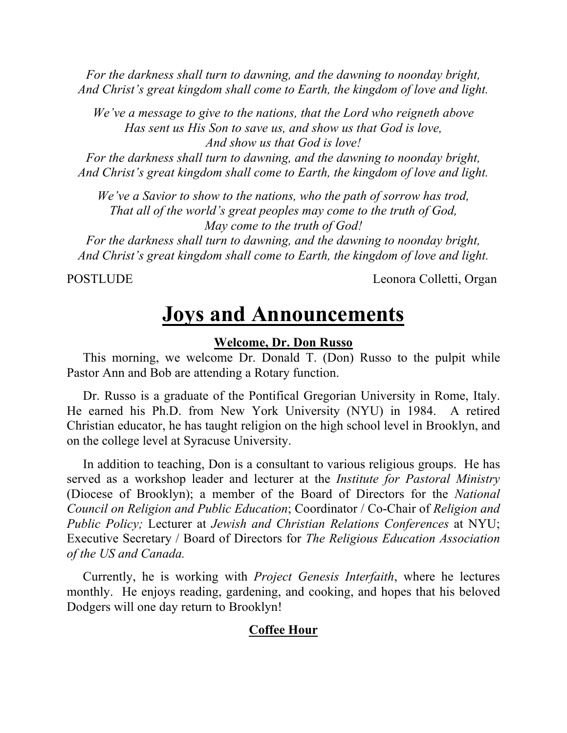*For the darkness shall turn to dawning, and the dawning to noonday bright, And Christ's great kingdom shall come to Earth, the kingdom of love and light.*

*We've a message to give to the nations, that the Lord who reigneth above Has sent us His Son to save us, and show us that God is love, And show us that God is love!*

*For the darkness shall turn to dawning, and the dawning to noonday bright, And Christ's great kingdom shall come to Earth, the kingdom of love and light.*

*We've a Savior to show to the nations, who the path of sorrow has trod, That all of the world's great peoples may come to the truth of God, May come to the truth of God!*

*For the darkness shall turn to dawning, and the dawning to noonday bright, And Christ's great kingdom shall come to Earth, the kingdom of love and light.*

POSTLUDE Leonora Colletti, Organ

# **Joys and Announcements**

#### **Welcome, Dr. Don Russo**

 This morning, we welcome Dr. Donald T. (Don) Russo to the pulpit while Pastor Ann and Bob are attending a Rotary function.

 Dr. Russo is a graduate of the Pontifical Gregorian University in Rome, Italy. He earned his Ph.D. from New York University (NYU) in 1984. A retired Christian educator, he has taught religion on the high school level in Brooklyn, and on the college level at Syracuse University.

 In addition to teaching, Don is a consultant to various religious groups. He has served as a workshop leader and lecturer at the *Institute for Pastoral Ministry* (Diocese of Brooklyn); a member of the Board of Directors for the *National Council on Religion and Public Education*; Coordinator / Co-Chair of *Religion and Public Policy;* Lecturer at *Jewish and Christian Relations Conferences* at NYU; Executive Secretary / Board of Directors for *The Religious Education Association of the US and Canada.*

 Currently, he is working with *Project Genesis Interfaith*, where he lectures monthly. He enjoys reading, gardening, and cooking, and hopes that his beloved Dodgers will one day return to Brooklyn!

### **Coffee Hour**